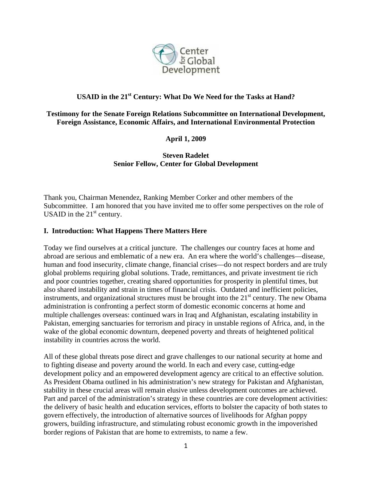

# **USAID in the 21st Century: What Do We Need for the Tasks at Hand?**

#### **Testimony for the Senate Foreign Relations Subcommittee on International Development, Foreign Assistance, Economic Affairs, and International Environmental Protection**

**April 1, 2009** 

**Steven Radelet Senior Fellow, Center for Global Development** 

Thank you, Chairman Menendez, Ranking Member Corker and other members of the Subcommittee. I am honored that you have invited me to offer some perspectives on the role of USAID in the  $21<sup>st</sup>$  century.

# **I. Introduction: What Happens There Matters Here**

Today we find ourselves at a critical juncture. The challenges our country faces at home and abroad are serious and emblematic of a new era. An era where the world's challenges—disease, human and food insecurity, climate change, financial crises—do not respect borders and are truly global problems requiring global solutions. Trade, remittances, and private investment tie rich and poor countries together, creating shared opportunities for prosperity in plentiful times, but also shared instability and strain in times of financial crisis. Outdated and inefficient policies, instruments, and organizational structures must be brought into the  $21<sup>st</sup>$  century. The new Obama administration is confronting a perfect storm of domestic economic concerns at home and multiple challenges overseas: continued wars in Iraq and Afghanistan, escalating instability in Pakistan, emerging sanctuaries for terrorism and piracy in unstable regions of Africa, and, in the wake of the global economic downturn, deepened poverty and threats of heightened political instability in countries across the world.

All of these global threats pose direct and grave challenges to our national security at home and to fighting disease and poverty around the world. In each and every case, cutting-edge development policy and an empowered development agency are critical to an effective solution. As President Obama outlined in his administration's new strategy for Pakistan and Afghanistan, stability in these crucial areas will remain elusive unless development outcomes are achieved. Part and parcel of the administration's strategy in these countries are core development activities: the delivery of basic health and education services, efforts to bolster the capacity of both states to govern effectively, the introduction of alternative sources of livelihoods for Afghan poppy growers, building infrastructure, and stimulating robust economic growth in the impoverished border regions of Pakistan that are home to extremists, to name a few.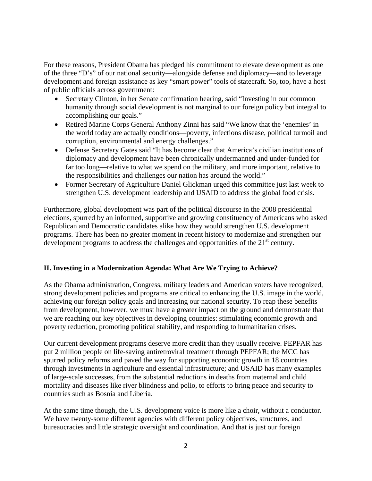For these reasons, President Obama has pledged his commitment to elevate development as one of the three "D's" of our national security—alongside defense and diplomacy—and to leverage development and foreign assistance as key "smart power" tools of statecraft. So, too, have a host of public officials across government:

- Secretary Clinton, in her Senate confirmation hearing, said "Investing in our common humanity through social development is not marginal to our foreign policy but integral to accomplishing our goals."
- Retired Marine Corps General Anthony Zinni has said "We know that the 'enemies' in the world today are actually conditions—poverty, infections disease, political turmoil and corruption, environmental and energy challenges."
- Defense Secretary Gates said "It has become clear that America's civilian institutions of diplomacy and development have been chronically undermanned and under-funded for far too long—relative to what we spend on the military, and more important, relative to the responsibilities and challenges our nation has around the world."
- Former Secretary of Agriculture Daniel Glickman urged this committee just last week to strengthen U.S. development leadership and USAID to address the global food crisis.

Furthermore, global development was part of the political discourse in the 2008 presidential elections, spurred by an informed, supportive and growing constituency of Americans who asked Republican and Democratic candidates alike how they would strengthen U.S. development programs. There has been no greater moment in recent history to modernize and strengthen our development programs to address the challenges and opportunities of the  $21<sup>st</sup>$  century.

# **II. Investing in a Modernization Agenda: What Are We Trying to Achieve?**

As the Obama administration, Congress, military leaders and American voters have recognized, strong development policies and programs are critical to enhancing the U.S. image in the world, achieving our foreign policy goals and increasing our national security. To reap these benefits from development, however, we must have a greater impact on the ground and demonstrate that we are reaching our key objectives in developing countries: stimulating economic growth and poverty reduction, promoting political stability, and responding to humanitarian crises.

Our current development programs deserve more credit than they usually receive. PEPFAR has put 2 million people on life-saving antiretroviral treatment through PEPFAR; the MCC has spurred policy reforms and paved the way for supporting economic growth in 18 countries through investments in agriculture and essential infrastructure; and USAID has many examples of large-scale successes, from the substantial reductions in deaths from maternal and child mortality and diseases like river blindness and polio, to efforts to bring peace and security to countries such as Bosnia and Liberia.

At the same time though, the U.S. development voice is more like a choir, without a conductor. We have twenty-some different agencies with different policy objectives, structures, and bureaucracies and little strategic oversight and coordination. And that is just our foreign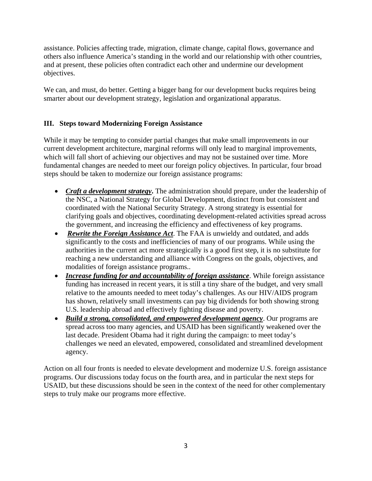assistance. Policies affecting trade, migration, climate change, capital flows, governance and others also influence America's standing in the world and our relationship with other countries, and at present, these policies often contradict each other and undermine our development objectives.

We can, and must, do better. Getting a bigger bang for our development bucks requires being smarter about our development strategy, legislation and organizational apparatus.

# **III. Steps toward Modernizing Foreign Assistance**

While it may be tempting to consider partial changes that make small improvements in our current development architecture, marginal reforms will only lead to marginal improvements, which will fall short of achieving our objectives and may not be sustained over time. More fundamental changes are needed to meet our foreign policy objectives. In particular, four broad steps should be taken to modernize our foreign assistance programs:

- *Craft a development strategy*. The administration should prepare, under the leadership of the NSC, a National Strategy for Global Development, distinct from but consistent and coordinated with the National Security Strategy. A strong strategy is essential for clarifying goals and objectives, coordinating development-related activities spread across the government, and increasing the efficiency and effectiveness of key programs.
- *Rewrite the Foreign Assistance Act*. The FAA is unwieldy and outdated, and adds significantly to the costs and inefficiencies of many of our programs. While using the authorities in the current act more strategically is a good first step, it is no substitute for reaching a new understanding and alliance with Congress on the goals, objectives, and modalities of foreign assistance programs..
- *Increase funding for and accountability of foreign assistance*. While foreign assistance funding has increased in recent years, it is still a tiny share of the budget, and very small relative to the amounts needed to meet today's challenges. As our HIV/AIDS program has shown, relatively small investments can pay big dividends for both showing strong U.S. leadership abroad and effectively fighting disease and poverty.
- *Build a strong, consolidated, and empowered development agency*. Our programs are spread across too many agencies, and USAID has been significantly weakened over the last decade. President Obama had it right during the campaign: to meet today's challenges we need an elevated, empowered, consolidated and streamlined development agency.

Action on all four fronts is needed to elevate development and modernize U.S. foreign assistance programs. Our discussions today focus on the fourth area, and in particular the next steps for USAID, but these discussions should be seen in the context of the need for other complementary steps to truly make our programs more effective.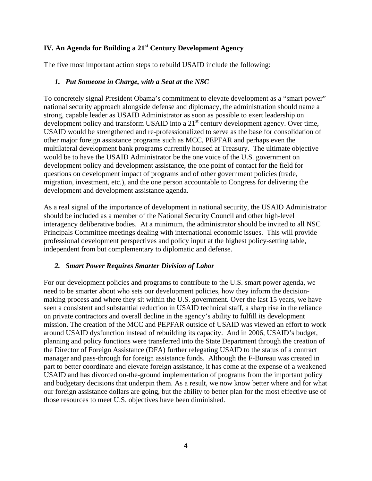# **IV. An Agenda for Building a 21<sup>st</sup> Century Development Agency**

The five most important action steps to rebuild USAID include the following:

#### *1. Put Someone in Charge, with a Seat at the NSC*

To concretely signal President Obama's commitment to elevate development as a "smart power" national security approach alongside defense and diplomacy, the administration should name a strong, capable leader as USAID Administrator as soon as possible to exert leadership on development policy and transform USAID into a  $21<sup>st</sup>$  century development agency. Over time, USAID would be strengthened and re-professionalized to serve as the base for consolidation of other major foreign assistance programs such as MCC, PEPFAR and perhaps even the multilateral development bank programs currently housed at Treasury. The ultimate objective would be to have the USAID Administrator be the one voice of the U.S. government on development policy and development assistance, the one point of contact for the field for questions on development impact of programs and of other government policies (trade, migration, investment, etc.), and the one person accountable to Congress for delivering the development and development assistance agenda.

As a real signal of the importance of development in national security, the USAID Administrator should be included as a member of the National Security Council and other high-level interagency deliberative bodies. At a minimum, the administrator should be invited to all NSC Principals Committee meetings dealing with international economic issues. This will provide professional development perspectives and policy input at the highest policy-setting table, independent from but complementary to diplomatic and defense.

# *2. Smart Power Requires Smarter Division of Labor*

For our development policies and programs to contribute to the U.S. smart power agenda, we need to be smarter about who sets our development policies, how they inform the decisionmaking process and where they sit within the U.S. government. Over the last 15 years, we have seen a consistent and substantial reduction in USAID technical staff, a sharp rise in the reliance on private contractors and overall decline in the agency's ability to fulfill its development mission. The creation of the MCC and PEPFAR outside of USAID was viewed an effort to work around USAID dysfunction instead of rebuilding its capacity. And in 2006, USAID's budget, planning and policy functions were transferred into the State Department through the creation of the Director of Foreign Assistance (DFA) further relegating USAID to the status of a contract manager and pass-through for foreign assistance funds. Although the F-Bureau was created in part to better coordinate and elevate foreign assistance, it has come at the expense of a weakened USAID and has divorced on-the-ground implementation of programs from the important policy and budgetary decisions that underpin them. As a result, we now know better where and for what our foreign assistance dollars are going, but the ability to better plan for the most effective use of those resources to meet U.S. objectives have been diminished.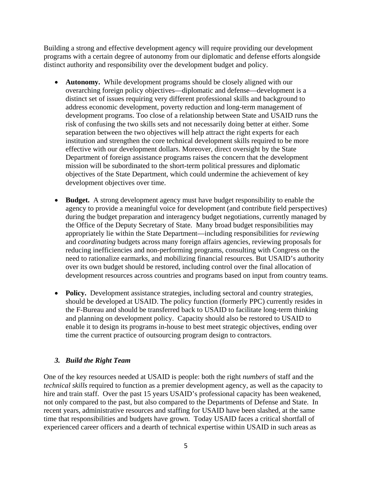Building a strong and effective development agency will require providing our development programs with a certain degree of autonomy from our diplomatic and defense efforts alongside distinct authority and responsibility over the development budget and policy.

- **Autonomy.** While development programs should be closely aligned with our overarching foreign policy objectives—diplomatic and defense—development is a distinct set of issues requiring very different professional skills and background to address economic development, poverty reduction and long-term management of development programs. Too close of a relationship between State and USAID runs the risk of confusing the two skills sets and not necessarily doing better at either. Some separation between the two objectives will help attract the right experts for each institution and strengthen the core technical development skills required to be more effective with our development dollars. Moreover, direct oversight by the State Department of foreign assistance programs raises the concern that the development mission will be subordinated to the short-term political pressures and diplomatic objectives of the State Department, which could undermine the achievement of key development objectives over time.
- **Budget.** A strong development agency must have budget responsibility to enable the agency to provide a meaningful voice for development (and contribute field perspectives) during the budget preparation and interagency budget negotiations, currently managed by the Office of the Deputy Secretary of State. Many broad budget responsibilities may appropriately lie within the State Department—including responsibilities for *reviewing* and *coordinating* budgets across many foreign affairs agencies, reviewing proposals for reducing inefficiencies and non-performing programs, consulting with Congress on the need to rationalize earmarks, and mobilizing financial resources. But USAID's authority over its own budget should be restored, including control over the final allocation of development resources across countries and programs based on input from country teams.
- **Policy.** Development assistance strategies, including sectoral and country strategies, should be developed at USAID. The policy function (formerly PPC) currently resides in the F-Bureau and should be transferred back to USAID to facilitate long-term thinking and planning on development policy. Capacity should also be restored to USAID to enable it to design its programs in-house to best meet strategic objectives, ending over time the current practice of outsourcing program design to contractors.

# *3. Build the Right Team*

One of the key resources needed at USAID is people: both the right *numbers* of staff and the *technical skills* required to function as a premier development agency, as well as the capacity to hire and train staff. Over the past 15 years USAID's professional capacity has been weakened, not only compared to the past, but also compared to the Departments of Defense and State. In recent years, administrative resources and staffing for USAID have been slashed, at the same time that responsibilities and budgets have grown. Today USAID faces a critical shortfall of experienced career officers and a dearth of technical expertise within USAID in such areas as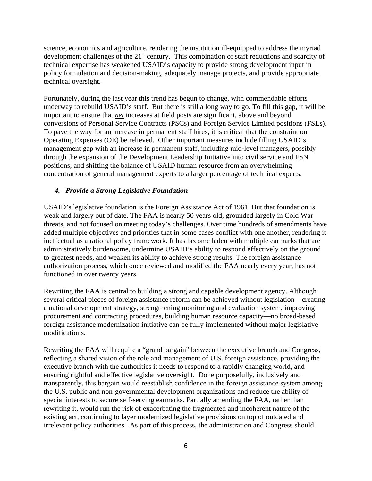science, economics and agriculture, rendering the institution ill-equipped to address the myriad development challenges of the 21<sup>st</sup> century. This combination of staff reductions and scarcity of technical expertise has weakened USAID's capacity to provide strong development input in policy formulation and decision-making, adequately manage projects, and provide appropriate technical oversight.

Fortunately, during the last year this trend has begun to change, with commendable efforts underway to rebuild USAID's staff. But there is still a long way to go. To fill this gap, it will be important to ensure that *net* increases at field posts are significant, above and beyond conversions of Personal Service Contracts (PSCs) and Foreign Service Limited positions (FSLs). To pave the way for an increase in permanent staff hires, it is critical that the constraint on Operating Expenses (OE) be relieved. Other important measures include filling USAID's management gap with an increase in permanent staff, including mid-level managers, possibly through the expansion of the Development Leadership Initiative into civil service and FSN positions, and shifting the balance of USAID human resource from an overwhelming concentration of general management experts to a larger percentage of technical experts.

#### *4. Provide a Strong Legislative Foundation*

USAID's legislative foundation is the Foreign Assistance Act of 1961. But that foundation is weak and largely out of date. The FAA is nearly 50 years old, grounded largely in Cold War threats, and not focused on meeting today's challenges. Over time hundreds of amendments have added multiple objectives and priorities that in some cases conflict with one another, rendering it ineffectual as a rational policy framework. It has become laden with multiple earmarks that are administratively burdensome, undermine USAID's ability to respond effectively on the ground to greatest needs, and weaken its ability to achieve strong results. The foreign assistance authorization process, which once reviewed and modified the FAA nearly every year, has not functioned in over twenty years.

Rewriting the FAA is central to building a strong and capable development agency. Although several critical pieces of foreign assistance reform can be achieved without legislation—creating a national development strategy, strengthening monitoring and evaluation system, improving procurement and contracting procedures, building human resource capacity—no broad-based foreign assistance modernization initiative can be fully implemented without major legislative modifications.

Rewriting the FAA will require a "grand bargain" between the executive branch and Congress, reflecting a shared vision of the role and management of U.S. foreign assistance, providing the executive branch with the authorities it needs to respond to a rapidly changing world, and ensuring rightful and effective legislative oversight. Done purposefully, inclusively and transparently, this bargain would reestablish confidence in the foreign assistance system among the U.S. public and non-governmental development organizations and reduce the ability of special interests to secure self-serving earmarks. Partially amending the FAA, rather than rewriting it, would run the risk of exacerbating the fragmented and incoherent nature of the existing act, continuing to layer modernized legislative provisions on top of outdated and irrelevant policy authorities. As part of this process, the administration and Congress should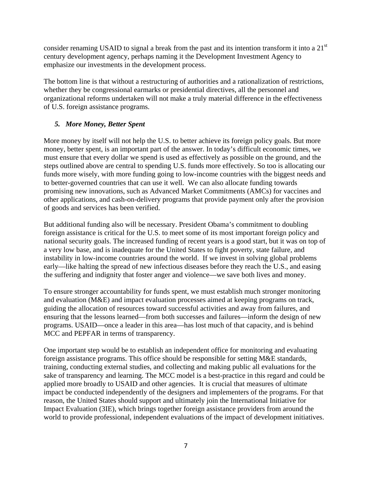consider renaming USAID to signal a break from the past and its intention transform it into a 21<sup>st</sup> century development agency, perhaps naming it the Development Investment Agency to emphasize our investments in the development process.

The bottom line is that without a restructuring of authorities and a rationalization of restrictions, whether they be congressional earmarks or presidential directives, all the personnel and organizational reforms undertaken will not make a truly material difference in the effectiveness of U.S. foreign assistance programs.

# *5. More Money, Better Spent*

More money by itself will not help the U.S. to better achieve its foreign policy goals. But more money, better spent, is an important part of the answer. In today's difficult economic times, we must ensure that every dollar we spend is used as effectively as possible on the ground, and the steps outlined above are central to spending U.S. funds more effectively. So too is allocating our funds more wisely, with more funding going to low-income countries with the biggest needs and to better-governed countries that can use it well. We can also allocate funding towards promising new innovations, such as Advanced Market Commitments (AMCs) for vaccines and other applications, and cash-on-delivery programs that provide payment only after the provision of goods and services has been verified.

But additional funding also will be necessary. President Obama's commitment to doubling foreign assistance is critical for the U.S. to meet some of its most important foreign policy and national security goals. The increased funding of recent years is a good start, but it was on top of a very low base, and is inadequate for the United States to fight poverty, state failure, and instability in low-income countries around the world. If we invest in solving global problems early—like halting the spread of new infectious diseases before they reach the U.S., and easing the suffering and indignity that foster anger and violence—we save both lives and money.

To ensure stronger accountability for funds spent, we must establish much stronger monitoring and evaluation (M&E) and impact evaluation processes aimed at keeping programs on track, guiding the allocation of resources toward successful activities and away from failures, and ensuring that the lessons learned—from both successes and failures—inform the design of new programs. USAID—once a leader in this area—has lost much of that capacity, and is behind MCC and PEPFAR in terms of transparency.

One important step would be to establish an independent office for monitoring and evaluating foreign assistance programs. This office should be responsible for setting M&E standards, training, conducting external studies, and collecting and making public all evaluations for the sake of transparency and learning. The MCC model is a best-practice in this regard and could be applied more broadly to USAID and other agencies. It is crucial that measures of ultimate impact be conducted independently of the designers and implementers of the programs. For that reason, the United States should support and ultimately join the International Initiative for Impact Evaluation (3IE), which brings together foreign assistance providers from around the world to provide professional, independent evaluations of the impact of development initiatives.